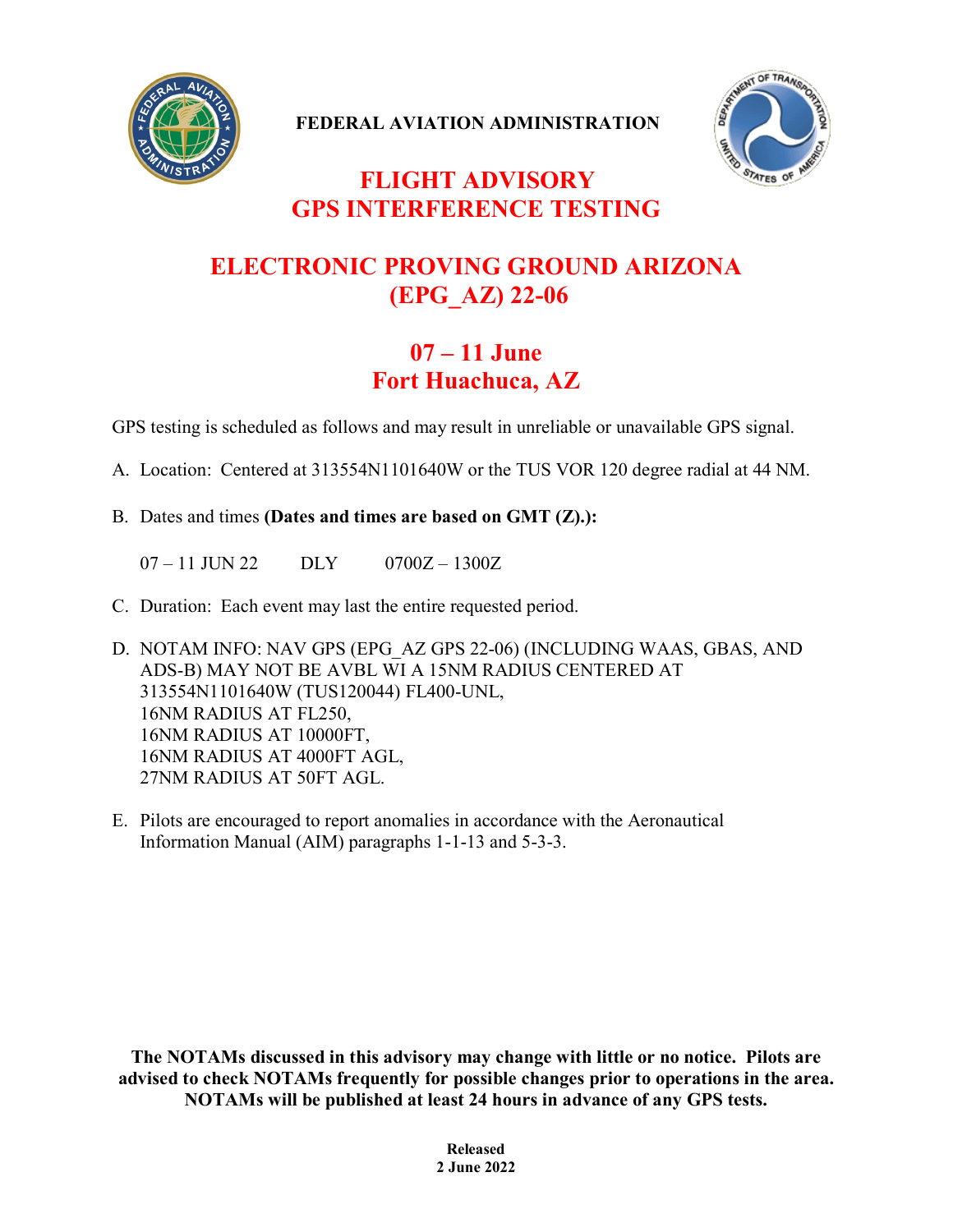

**FEDERAL AVIATION ADMINISTRATION**



## **FLIGHT ADVISORY GPS INTERFERENCE TESTING**

## **ELECTRONIC PROVING GROUND ARIZONA (EPG\_AZ) 22-06**

## **07 – 11 June Fort Huachuca, AZ**

GPS testing is scheduled as follows and may result in unreliable or unavailable GPS signal.

- A. Location: Centered at 313554N1101640W or the TUS VOR 120 degree radial at 44 NM.
- B. Dates and times **(Dates and times are based on GMT (Z).):**

 $07 - 11$  JUN 22 DLY  $0700Z - 1300Z$ 

- C. Duration: Each event may last the entire requested period.
- D. NOTAM INFO: NAV GPS (EPG\_AZ GPS 22-06) (INCLUDING WAAS, GBAS, AND ADS-B) MAY NOT BE AVBL WI A 15NM RADIUS CENTERED AT 313554N1101640W (TUS120044) FL400-UNL, 16NM RADIUS AT FL250, 16NM RADIUS AT 10000FT, 16NM RADIUS AT 4000FT AGL, 27NM RADIUS AT 50FT AGL.
- E. Pilots are encouraged to report anomalies in accordance with the Aeronautical Information Manual (AIM) paragraphs 1-1-13 and 5-3-3.

**The NOTAMs discussed in this advisory may change with little or no notice. Pilots are advised to check NOTAMs frequently for possible changes prior to operations in the area. NOTAMs will be published at least 24 hours in advance of any GPS tests.**